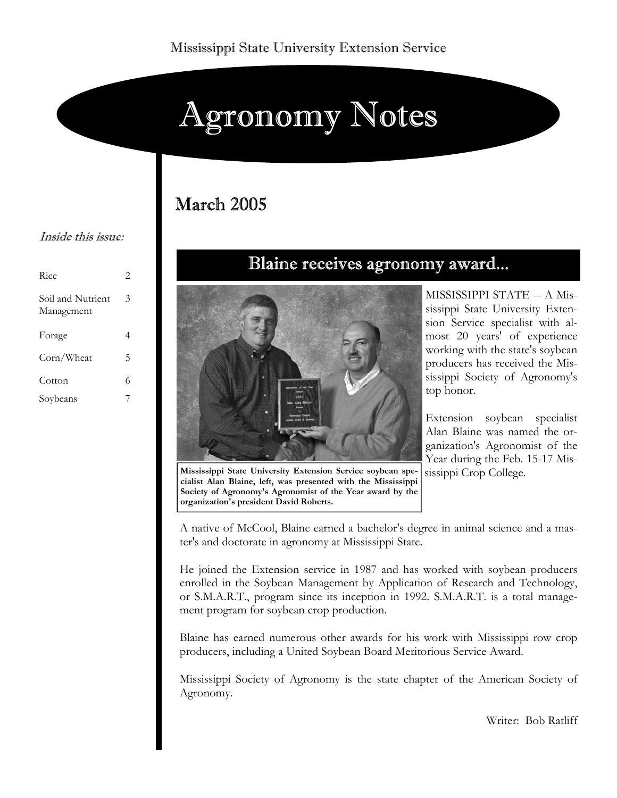# Agronomy Notes

## March 2005

#### Inside this issue:

| Rice                            | 2 |
|---------------------------------|---|
| Soil and Nutrient<br>Management | 3 |
| Forage                          | 4 |
| Corn/Wheat                      | 5 |
| Cotton                          | 6 |
| Soybeans                        |   |

## Blaine receives agronomy award...



**Mississippi State University Extension Service soybean specialist Alan Blaine, left, was presented with the Mississippi Society of Agronomy's Agronomist of the Year award by the organization's president David Roberts.**

MISSISSIPPI STATE -- A Mississippi State University Extension Service specialist with almost 20 years' of experience working with the state's soybean producers has received the Mississippi Society of Agronomy's top honor.

Extension soybean specialist Alan Blaine was named the organization's Agronomist of the Year during the Feb. 15-17 Mississippi Crop College.

A native of McCool, Blaine earned a bachelor's degree in animal science and a master's and doctorate in agronomy at Mississippi State.

He joined the Extension service in 1987 and has worked with soybean producers enrolled in the Soybean Management by Application of Research and Technology, or S.M.A.R.T., program since its inception in 1992. S.M.A.R.T. is a total management program for soybean crop production.

Blaine has earned numerous other awards for his work with Mississippi row crop producers, including a United Soybean Board Meritorious Service Award.

Mississippi Society of Agronomy is the state chapter of the American Society of Agronomy.

Writer: Bob Ratliff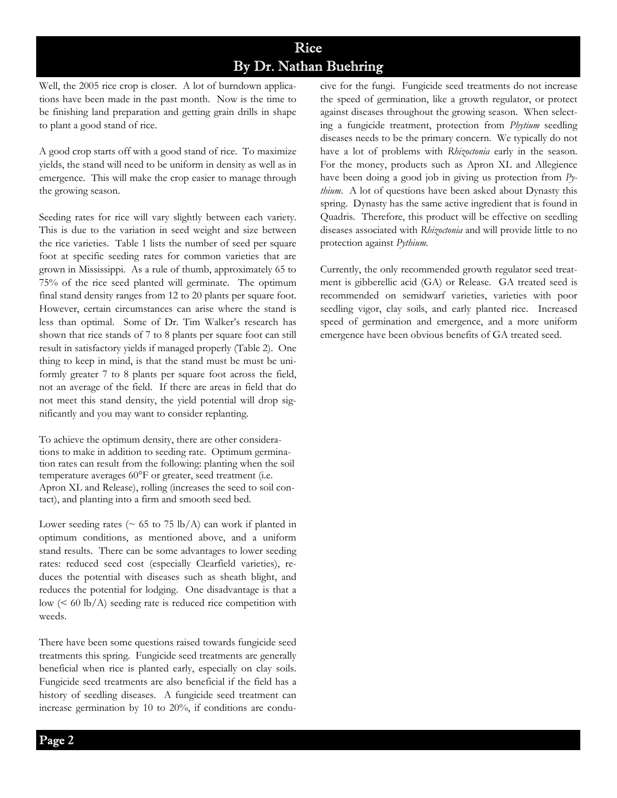## Rice By Dr. Nathan Buehring

Well, the 2005 rice crop is closer. A lot of burndown applications have been made in the past month. Now is the time to be finishing land preparation and getting grain drills in shape to plant a good stand of rice.

A good crop starts off with a good stand of rice. To maximize yields, the stand will need to be uniform in density as well as in emergence. This will make the crop easier to manage through the growing season.

Seeding rates for rice will vary slightly between each variety. This is due to the variation in seed weight and size between the rice varieties. Table 1 lists the number of seed per square foot at specific seeding rates for common varieties that are grown in Mississippi. As a rule of thumb, approximately 65 to 75% of the rice seed planted will germinate. The optimum final stand density ranges from 12 to 20 plants per square foot. However, certain circumstances can arise where the stand is less than optimal. Some of Dr. Tim Walker's research has shown that rice stands of 7 to 8 plants per square foot can still result in satisfactory yields if managed properly (Table 2). One thing to keep in mind, is that the stand must be must be uniformly greater 7 to 8 plants per square foot across the field, not an average of the field. If there are areas in field that do not meet this stand density, the yield potential will drop significantly and you may want to consider replanting.

To achieve the optimum density, there are other considerations to make in addition to seeding rate. Optimum germination rates can result from the following: planting when the soil temperature averages 60°F or greater, seed treatment (i.e. Apron XL and Release), rolling (increases the seed to soil contact), and planting into a firm and smooth seed bed.

Lower seeding rates ( $\sim$  65 to 75 lb/A) can work if planted in optimum conditions, as mentioned above, and a uniform stand results. There can be some advantages to lower seeding rates: reduced seed cost (especially Clearfield varieties), reduces the potential with diseases such as sheath blight, and reduces the potential for lodging. One disadvantage is that a  $\text{low } (< 60 \text{ lb/A})$  seeding rate is reduced rice competition with weeds.

There have been some questions raised towards fungicide seed treatments this spring. Fungicide seed treatments are generally beneficial when rice is planted early, especially on clay soils. Fungicide seed treatments are also beneficial if the field has a history of seedling diseases. A fungicide seed treatment can increase germination by 10 to 20%, if conditions are conducive for the fungi. Fungicide seed treatments do not increase the speed of germination, like a growth regulator, or protect against diseases throughout the growing season. When selecting a fungicide treatment, protection from *Phytium* seedling diseases needs to be the primary concern. We typically do not have a lot of problems with *Rhizoctonia* early in the season. For the money, products such as Apron XL and Allegience have been doing a good job in giving us protection from *Pythium*. A lot of questions have been asked about Dynasty this spring. Dynasty has the same active ingredient that is found in Quadris. Therefore, this product will be effective on seedling diseases associated with *Rhizoctonia* and will provide little to no protection against *Pythium*.

Currently, the only recommended growth regulator seed treatment is gibberellic acid (GA) or Release. GA treated seed is recommended on semidwarf varieties, varieties with poor seedling vigor, clay soils, and early planted rice. Increased speed of germination and emergence, and a more uniform emergence have been obvious benefits of GA treated seed.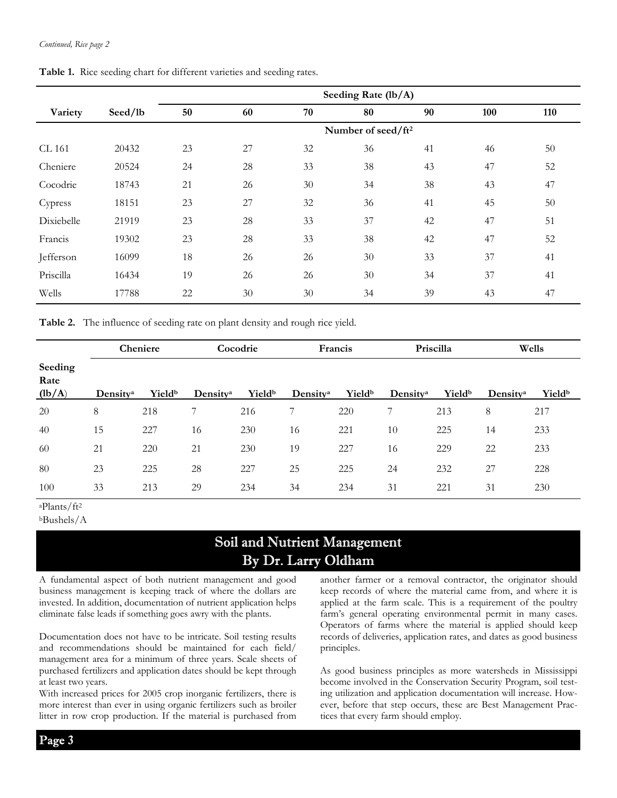|            |         | Seeding Rate (lb/A)            |    |    |    |    |     |     |  |
|------------|---------|--------------------------------|----|----|----|----|-----|-----|--|
| Variety    | Seed/lb | 50                             | 60 | 70 | 80 | 90 | 100 | 110 |  |
|            |         | Number of seed/ft <sup>2</sup> |    |    |    |    |     |     |  |
| CL 161     | 20432   | 23                             | 27 | 32 | 36 | 41 | 46  | 50  |  |
| Cheniere   | 20524   | 24                             | 28 | 33 | 38 | 43 | 47  | 52  |  |
| Cocodrie   | 18743   | 21                             | 26 | 30 | 34 | 38 | 43  | 47  |  |
| Cypress    | 18151   | 23                             | 27 | 32 | 36 | 41 | 45  | 50  |  |
| Dixiebelle | 21919   | 23                             | 28 | 33 | 37 | 42 | 47  | 51  |  |
| Francis    | 19302   | 23                             | 28 | 33 | 38 | 42 | 47  | 52  |  |
| Jefferson  | 16099   | 18                             | 26 | 26 | 30 | 33 | 37  | 41  |  |
| Priscilla  | 16434   | 19                             | 26 | 26 | 30 | 34 | 37  | 41  |  |
| Wells      | 17788   | 22                             | 30 | 30 | 34 | 39 | 43  | 47  |  |

**Table 1.** Rice seeding chart for different varieties and seeding rates.

**Table 2.** The influence of seeding rate on plant density and rough rice yield.

|                           | Cheniere             |                           | Cocodrie             |                           | Francis              |        | Priscilla            |                    | Wells                |        |
|---------------------------|----------------------|---------------------------|----------------------|---------------------------|----------------------|--------|----------------------|--------------------|----------------------|--------|
| Seeding<br>Rate<br>(lb/A) | Density <sup>a</sup> | <b>Yield</b> <sup>b</sup> | Density <sup>a</sup> | <b>Yield</b> <sup>b</sup> | Density <sup>a</sup> | Yieldb | Density <sup>a</sup> | Yield <sup>b</sup> | Density <sup>a</sup> | Yieldb |
| 20                        | 8                    | 218                       | Ξ.                   | 216                       |                      | 220    | ⇁                    | 213                | 8                    | 217    |
| 40                        | 15                   | 227                       | 16                   | 230                       | 16                   | 221    | 10                   | 225                | 14                   | 233    |
| 60                        | 21                   | 220                       | 21                   | 230                       | 19                   | 227    | 16                   | 229                | 22                   | 233    |
| 80                        | 23                   | 225                       | 28                   | 227                       | 25                   | 225    | 24                   | 232                | 27                   | 228    |
| 100                       | 33                   | 213                       | 29                   | 234                       | 34                   | 234    | 31                   | 221                | 31                   | 230    |

aPlants/ft2

## Soil and Nutrient Management By Dr. Larry Oldham

A fundamental aspect of both nutrient management and good business management is keeping track of where the dollars are invested. In addition, documentation of nutrient application helps eliminate false leads if something goes awry with the plants.

Documentation does not have to be intricate. Soil testing results and recommendations should be maintained for each field/ management area for a minimum of three years. Scale sheets of purchased fertilizers and application dates should be kept through at least two years.

With increased prices for 2005 crop inorganic fertilizers, there is more interest than ever in using organic fertilizers such as broiler litter in row crop production. If the material is purchased from

another farmer or a removal contractor, the originator should keep records of where the material came from, and where it is applied at the farm scale. This is a requirement of the poultry farm's general operating environmental permit in many cases. Operators of farms where the material is applied should keep records of deliveries, application rates, and dates as good business principles.

As good business principles as more watersheds in Mississippi become involved in the Conservation Security Program, soil testing utilization and application documentation will increase. However, before that step occurs, these are Best Management Practices that every farm should employ.

bBushels/A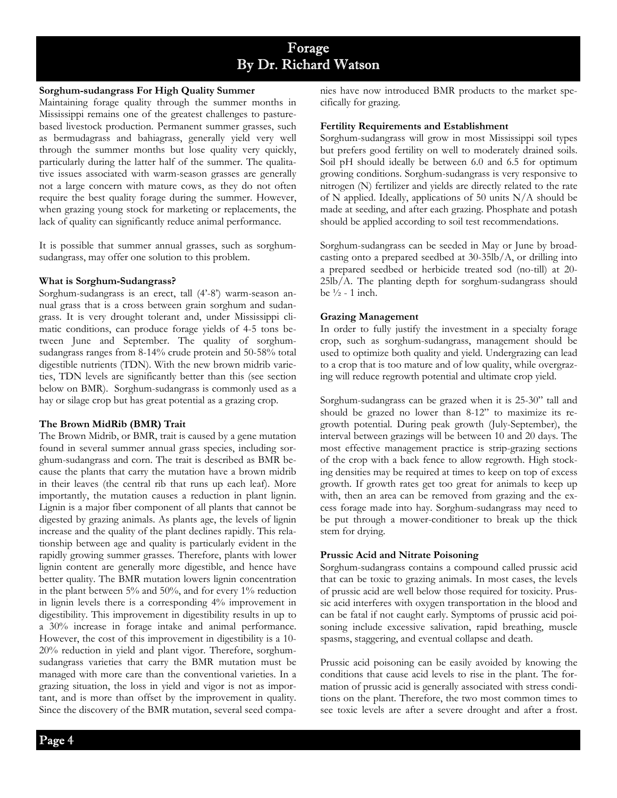## Forage By Dr. Richard Watson

#### **Sorghum-sudangrass For High Quality Summer**

Maintaining forage quality through the summer months in Mississippi remains one of the greatest challenges to pasturebased livestock production. Permanent summer grasses, such as bermudagrass and bahiagrass, generally yield very well through the summer months but lose quality very quickly, particularly during the latter half of the summer. The qualitative issues associated with warm-season grasses are generally not a large concern with mature cows, as they do not often require the best quality forage during the summer. However, when grazing young stock for marketing or replacements, the lack of quality can significantly reduce animal performance.

It is possible that summer annual grasses, such as sorghumsudangrass, may offer one solution to this problem.

#### **What is Sorghum-Sudangrass?**

Sorghum-sudangrass is an erect, tall (4'-8') warm-season annual grass that is a cross between grain sorghum and sudangrass. It is very drought tolerant and, under Mississippi climatic conditions, can produce forage yields of 4-5 tons between June and September. The quality of sorghumsudangrass ranges from 8-14% crude protein and 50-58% total digestible nutrients (TDN). With the new brown midrib varieties, TDN levels are significantly better than this (see section below on BMR). Sorghum-sudangrass is commonly used as a hay or silage crop but has great potential as a grazing crop.

#### **The Brown MidRib (BMR) Trait**

The Brown Midrib, or BMR, trait is caused by a gene mutation found in several summer annual grass species, including sorghum-sudangrass and corn. The trait is described as BMR because the plants that carry the mutation have a brown midrib in their leaves (the central rib that runs up each leaf). More importantly, the mutation causes a reduction in plant lignin. Lignin is a major fiber component of all plants that cannot be digested by grazing animals. As plants age, the levels of lignin increase and the quality of the plant declines rapidly. This relationship between age and quality is particularly evident in the rapidly growing summer grasses. Therefore, plants with lower lignin content are generally more digestible, and hence have better quality. The BMR mutation lowers lignin concentration in the plant between 5% and 50%, and for every 1% reduction in lignin levels there is a corresponding 4% improvement in digestibility. This improvement in digestibility results in up to a 30% increase in forage intake and animal performance. However, the cost of this improvement in digestibility is a 10- 20% reduction in yield and plant vigor. Therefore, sorghumsudangrass varieties that carry the BMR mutation must be managed with more care than the conventional varieties. In a grazing situation, the loss in yield and vigor is not as important, and is more than offset by the improvement in quality. Since the discovery of the BMR mutation, several seed companies have now introduced BMR products to the market specifically for grazing.

#### **Fertility Requirements and Establishment**

Sorghum-sudangrass will grow in most Mississippi soil types but prefers good fertility on well to moderately drained soils. Soil pH should ideally be between 6.0 and 6.5 for optimum growing conditions. Sorghum-sudangrass is very responsive to nitrogen (N) fertilizer and yields are directly related to the rate of N applied. Ideally, applications of 50 units N/A should be made at seeding, and after each grazing. Phosphate and potash should be applied according to soil test recommendations.

Sorghum-sudangrass can be seeded in May or June by broadcasting onto a prepared seedbed at 30-35lb/A, or drilling into a prepared seedbed or herbicide treated sod (no-till) at 20- 25lb/A. The planting depth for sorghum-sudangrass should be  $\frac{1}{2}$  - 1 inch.

#### **Grazing Management**

In order to fully justify the investment in a specialty forage crop, such as sorghum-sudangrass, management should be used to optimize both quality and yield. Undergrazing can lead to a crop that is too mature and of low quality, while overgrazing will reduce regrowth potential and ultimate crop yield.

Sorghum-sudangrass can be grazed when it is 25-30" tall and should be grazed no lower than 8-12" to maximize its regrowth potential. During peak growth (July-September), the interval between grazings will be between 10 and 20 days. The most effective management practice is strip-grazing sections of the crop with a back fence to allow regrowth. High stocking densities may be required at times to keep on top of excess growth. If growth rates get too great for animals to keep up with, then an area can be removed from grazing and the excess forage made into hay. Sorghum-sudangrass may need to be put through a mower-conditioner to break up the thick stem for drying.

#### **Prussic Acid and Nitrate Poisoning**

Sorghum-sudangrass contains a compound called prussic acid that can be toxic to grazing animals. In most cases, the levels of prussic acid are well below those required for toxicity. Prussic acid interferes with oxygen transportation in the blood and can be fatal if not caught early. Symptoms of prussic acid poisoning include excessive salivation, rapid breathing, muscle spasms, staggering, and eventual collapse and death.

Prussic acid poisoning can be easily avoided by knowing the conditions that cause acid levels to rise in the plant. The formation of prussic acid is generally associated with stress conditions on the plant. Therefore, the two most common times to see toxic levels are after a severe drought and after a frost.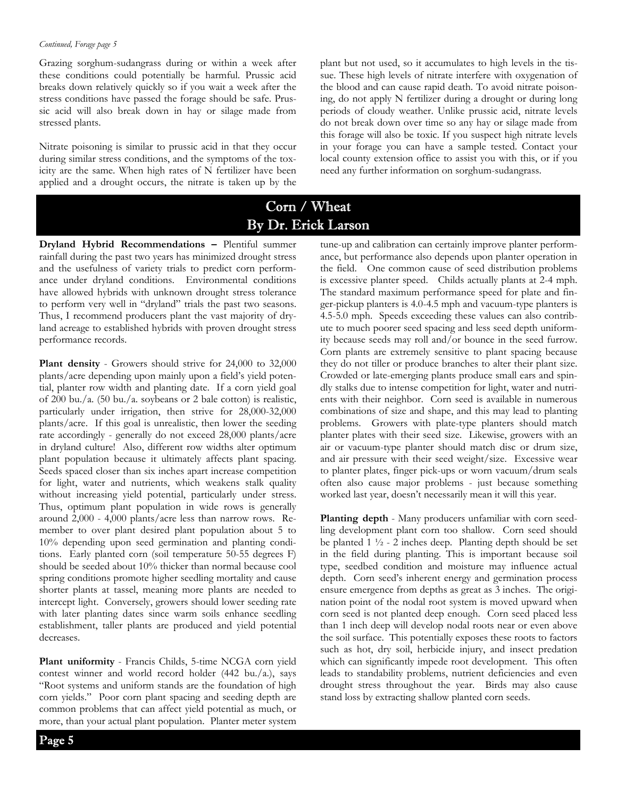Grazing sorghum-sudangrass during or within a week after these conditions could potentially be harmful. Prussic acid breaks down relatively quickly so if you wait a week after the stress conditions have passed the forage should be safe. Prussic acid will also break down in hay or silage made from stressed plants.

Nitrate poisoning is similar to prussic acid in that they occur during similar stress conditions, and the symptoms of the toxicity are the same. When high rates of N fertilizer have been applied and a drought occurs, the nitrate is taken up by the

plant but not used, so it accumulates to high levels in the tissue. These high levels of nitrate interfere with oxygenation of the blood and can cause rapid death. To avoid nitrate poisoning, do not apply N fertilizer during a drought or during long periods of cloudy weather. Unlike prussic acid, nitrate levels do not break down over time so any hay or silage made from this forage will also be toxic. If you suspect high nitrate levels in your forage you can have a sample tested. Contact your local county extension office to assist you with this, or if you need any further information on sorghum-sudangrass.

## Corn / Wheat By Dr. Erick Larson

**Dryland Hybrid Recommendations –** Plentiful summer rainfall during the past two years has minimized drought stress and the usefulness of variety trials to predict corn performance under dryland conditions. Environmental conditions have allowed hybrids with unknown drought stress tolerance to perform very well in "dryland" trials the past two seasons. Thus, I recommend producers plant the vast majority of dryland acreage to established hybrids with proven drought stress performance records.

**Plant density** - Growers should strive for 24,000 to 32,000 plants/acre depending upon mainly upon a field's yield potential, planter row width and planting date. If a corn yield goal of 200 bu./a. (50 bu./a. soybeans or 2 bale cotton) is realistic, particularly under irrigation, then strive for 28,000-32,000 plants/acre. If this goal is unrealistic, then lower the seeding rate accordingly - generally do not exceed 28,000 plants/acre in dryland culture! Also, different row widths alter optimum plant population because it ultimately affects plant spacing. Seeds spaced closer than six inches apart increase competition for light, water and nutrients, which weakens stalk quality without increasing yield potential, particularly under stress. Thus, optimum plant population in wide rows is generally around 2,000 - 4,000 plants/acre less than narrow rows. Remember to over plant desired plant population about 5 to 10% depending upon seed germination and planting conditions. Early planted corn (soil temperature 50-55 degrees F) should be seeded about 10% thicker than normal because cool spring conditions promote higher seedling mortality and cause shorter plants at tassel, meaning more plants are needed to intercept light. Conversely, growers should lower seeding rate with later planting dates since warm soils enhance seedling establishment, taller plants are produced and yield potential decreases.

**Plant uniformity** - Francis Childs, 5-time NCGA corn yield contest winner and world record holder (442 bu./a.), says "Root systems and uniform stands are the foundation of high corn yields." Poor corn plant spacing and seeding depth are common problems that can affect yield potential as much, or more, than your actual plant population. Planter meter system

tune-up and calibration can certainly improve planter performance, but performance also depends upon planter operation in the field. One common cause of seed distribution problems is excessive planter speed. Childs actually plants at 2-4 mph. The standard maximum performance speed for plate and finger-pickup planters is 4.0-4.5 mph and vacuum-type planters is 4.5-5.0 mph. Speeds exceeding these values can also contribute to much poorer seed spacing and less seed depth uniformity because seeds may roll and/or bounce in the seed furrow. Corn plants are extremely sensitive to plant spacing because they do not tiller or produce branches to alter their plant size. Crowded or late-emerging plants produce small ears and spindly stalks due to intense competition for light, water and nutrients with their neighbor. Corn seed is available in numerous combinations of size and shape, and this may lead to planting problems. Growers with plate-type planters should match planter plates with their seed size. Likewise, growers with an air or vacuum-type planter should match disc or drum size, and air pressure with their seed weight/size. Excessive wear to planter plates, finger pick-ups or worn vacuum/drum seals often also cause major problems - just because something worked last year, doesn't necessarily mean it will this year.

**Planting depth** - Many producers unfamiliar with corn seedling development plant corn too shallow. Corn seed should be planted  $1 \frac{1}{2}$  - 2 inches deep. Planting depth should be set in the field during planting. This is important because soil type, seedbed condition and moisture may influence actual depth. Corn seed's inherent energy and germination process ensure emergence from depths as great as 3 inches. The origination point of the nodal root system is moved upward when corn seed is not planted deep enough. Corn seed placed less than 1 inch deep will develop nodal roots near or even above the soil surface. This potentially exposes these roots to factors such as hot, dry soil, herbicide injury, and insect predation which can significantly impede root development. This often leads to standability problems, nutrient deficiencies and even drought stress throughout the year. Birds may also cause stand loss by extracting shallow planted corn seeds.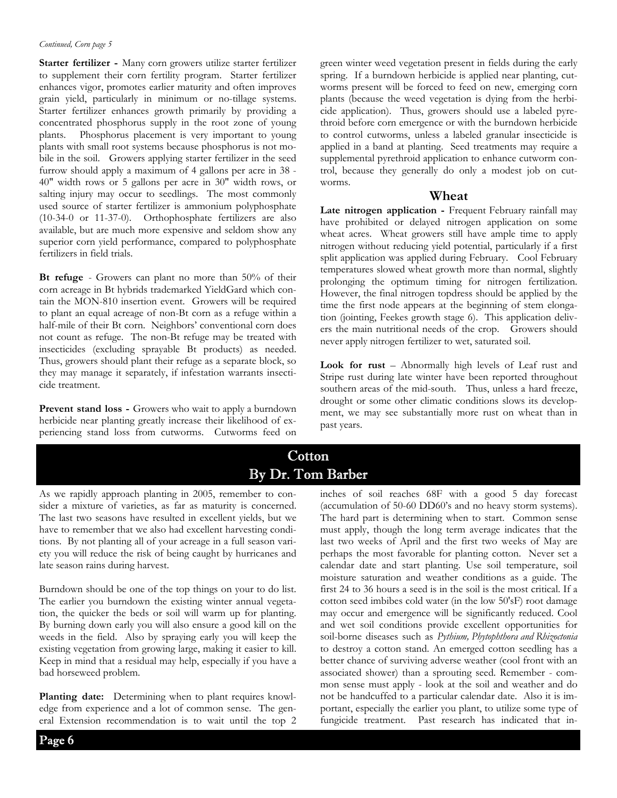#### *Continued, Corn page 5*

**Starter fertilizer -** Many corn growers utilize starter fertilizer to supplement their corn fertility program. Starter fertilizer enhances vigor, promotes earlier maturity and often improves grain yield, particularly in minimum or no-tillage systems. Starter fertilizer enhances growth primarily by providing a concentrated phosphorus supply in the root zone of young plants. Phosphorus placement is very important to young plants with small root systems because phosphorus is not mobile in the soil. Growers applying starter fertilizer in the seed furrow should apply a maximum of 4 gallons per acre in 38 - 40" width rows or 5 gallons per acre in 30" width rows, or salting injury may occur to seedlings. The most commonly used source of starter fertilizer is ammonium polyphosphate (10-34-0 or 11-37-0). Orthophosphate fertilizers are also available, but are much more expensive and seldom show any superior corn yield performance, compared to polyphosphate fertilizers in field trials.

**Bt refuge** - Growers can plant no more than 50% of their corn acreage in Bt hybrids trademarked YieldGard which contain the MON-810 insertion event. Growers will be required to plant an equal acreage of non-Bt corn as a refuge within a half-mile of their Bt corn. Neighbors' conventional corn does not count as refuge. The non-Bt refuge may be treated with insecticides (excluding sprayable Bt products) as needed. Thus, growers should plant their refuge as a separate block, so they may manage it separately, if infestation warrants insecticide treatment.

**Prevent stand loss -** Growers who wait to apply a burndown herbicide near planting greatly increase their likelihood of experiencing stand loss from cutworms. Cutworms feed on green winter weed vegetation present in fields during the early spring. If a burndown herbicide is applied near planting, cutworms present will be forced to feed on new, emerging corn plants (because the weed vegetation is dying from the herbicide application). Thus, growers should use a labeled pyrethroid before corn emergence or with the burndown herbicide to control cutworms, unless a labeled granular insecticide is applied in a band at planting. Seed treatments may require a supplemental pyrethroid application to enhance cutworm control, because they generally do only a modest job on cutworms.

#### **Wheat**

Late nitrogen application - Frequent February rainfall may have prohibited or delayed nitrogen application on some wheat acres. Wheat growers still have ample time to apply nitrogen without reducing yield potential, particularly if a first split application was applied during February. Cool February temperatures slowed wheat growth more than normal, slightly prolonging the optimum timing for nitrogen fertilization. However, the final nitrogen topdress should be applied by the time the first node appears at the beginning of stem elongation (jointing, Feekes growth stage 6). This application delivers the main nutritional needs of the crop. Growers should never apply nitrogen fertilizer to wet, saturated soil.

**Look for rust** – Abnormally high levels of Leaf rust and Stripe rust during late winter have been reported throughout southern areas of the mid-south. Thus, unless a hard freeze, drought or some other climatic conditions slows its development, we may see substantially more rust on wheat than in past years.

## **Cotton** By Dr. Tom Barber

As we rapidly approach planting in 2005, remember to consider a mixture of varieties, as far as maturity is concerned. The last two seasons have resulted in excellent yields, but we have to remember that we also had excellent harvesting conditions. By not planting all of your acreage in a full season variety you will reduce the risk of being caught by hurricanes and late season rains during harvest.

Burndown should be one of the top things on your to do list. The earlier you burndown the existing winter annual vegetation, the quicker the beds or soil will warm up for planting. By burning down early you will also ensure a good kill on the weeds in the field. Also by spraying early you will keep the existing vegetation from growing large, making it easier to kill. Keep in mind that a residual may help, especially if you have a bad horseweed problem.

**Planting date:** Determining when to plant requires knowledge from experience and a lot of common sense. The general Extension recommendation is to wait until the top 2 inches of soil reaches 68F with a good 5 day forecast (accumulation of 50-60 DD60's and no heavy storm systems). The hard part is determining when to start. Common sense must apply, though the long term average indicates that the last two weeks of April and the first two weeks of May are perhaps the most favorable for planting cotton. Never set a calendar date and start planting. Use soil temperature, soil moisture saturation and weather conditions as a guide. The first 24 to 36 hours a seed is in the soil is the most critical. If a cotton seed imbibes cold water (in the low 50'sF) root damage may occur and emergence will be significantly reduced. Cool and wet soil conditions provide excellent opportunities for soil-borne diseases such as *Pythium, Phytophthora and Rhizoctonia* to destroy a cotton stand. An emerged cotton seedling has a better chance of surviving adverse weather (cool front with an associated shower) than a sprouting seed. Remember - common sense must apply - look at the soil and weather and do not be handcuffed to a particular calendar date. Also it is important, especially the earlier you plant, to utilize some type of fungicide treatment. Past research has indicated that in-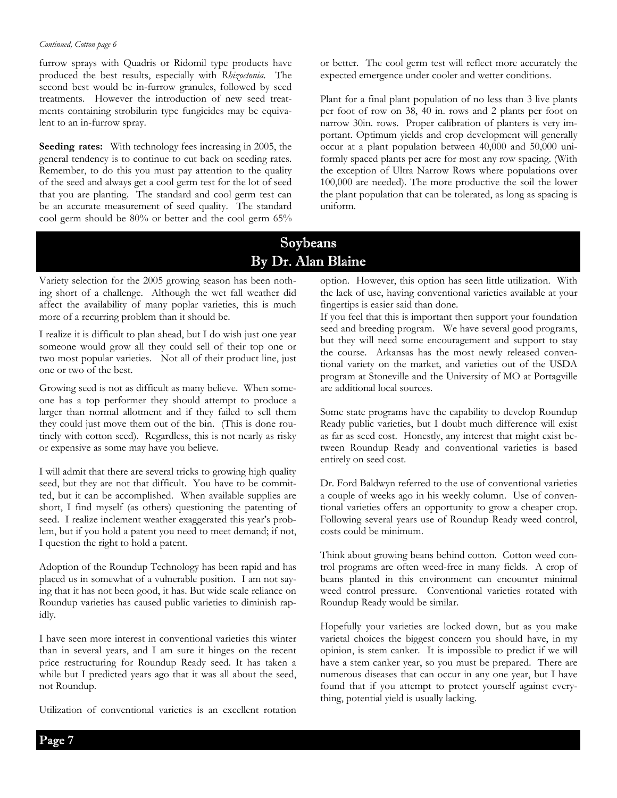#### *Continued, Cotton page 6*

furrow sprays with Quadris or Ridomil type products have produced the best results, especially with *Rhizoctonia*. The second best would be in-furrow granules, followed by seed treatments. However the introduction of new seed treatments containing strobilurin type fungicides may be equivalent to an in-furrow spray.

**Seeding rates:** With technology fees increasing in 2005, the general tendency is to continue to cut back on seeding rates. Remember, to do this you must pay attention to the quality of the seed and always get a cool germ test for the lot of seed that you are planting. The standard and cool germ test can be an accurate measurement of seed quality. The standard cool germ should be 80% or better and the cool germ 65% or better. The cool germ test will reflect more accurately the expected emergence under cooler and wetter conditions.

Plant for a final plant population of no less than 3 live plants per foot of row on 38, 40 in. rows and 2 plants per foot on narrow 30in. rows. Proper calibration of planters is very important. Optimum yields and crop development will generally occur at a plant population between 40,000 and 50,000 uniformly spaced plants per acre for most any row spacing. (With the exception of Ultra Narrow Rows where populations over 100,000 are needed). The more productive the soil the lower the plant population that can be tolerated, as long as spacing is uniform.

## Soybeans By Dr. Alan Blaine

Variety selection for the 2005 growing season has been nothing short of a challenge. Although the wet fall weather did affect the availability of many poplar varieties, this is much more of a recurring problem than it should be.

I realize it is difficult to plan ahead, but I do wish just one year someone would grow all they could sell of their top one or two most popular varieties. Not all of their product line, just one or two of the best.

Growing seed is not as difficult as many believe. When someone has a top performer they should attempt to produce a larger than normal allotment and if they failed to sell them they could just move them out of the bin. (This is done routinely with cotton seed). Regardless, this is not nearly as risky or expensive as some may have you believe.

I will admit that there are several tricks to growing high quality seed, but they are not that difficult. You have to be committed, but it can be accomplished. When available supplies are short, I find myself (as others) questioning the patenting of seed. I realize inclement weather exaggerated this year's problem, but if you hold a patent you need to meet demand; if not, I question the right to hold a patent.

Adoption of the Roundup Technology has been rapid and has placed us in somewhat of a vulnerable position. I am not saying that it has not been good, it has. But wide scale reliance on Roundup varieties has caused public varieties to diminish rapidly.

I have seen more interest in conventional varieties this winter than in several years, and I am sure it hinges on the recent price restructuring for Roundup Ready seed. It has taken a while but I predicted years ago that it was all about the seed, not Roundup.

Utilization of conventional varieties is an excellent rotation

option. However, this option has seen little utilization. With the lack of use, having conventional varieties available at your fingertips is easier said than done.

If you feel that this is important then support your foundation seed and breeding program. We have several good programs, but they will need some encouragement and support to stay the course. Arkansas has the most newly released conventional variety on the market, and varieties out of the USDA program at Stoneville and the University of MO at Portagville are additional local sources.

Some state programs have the capability to develop Roundup Ready public varieties, but I doubt much difference will exist as far as seed cost. Honestly, any interest that might exist between Roundup Ready and conventional varieties is based entirely on seed cost.

Dr. Ford Baldwyn referred to the use of conventional varieties a couple of weeks ago in his weekly column. Use of conventional varieties offers an opportunity to grow a cheaper crop. Following several years use of Roundup Ready weed control, costs could be minimum.

Think about growing beans behind cotton. Cotton weed control programs are often weed-free in many fields. A crop of beans planted in this environment can encounter minimal weed control pressure. Conventional varieties rotated with Roundup Ready would be similar.

Hopefully your varieties are locked down, but as you make varietal choices the biggest concern you should have, in my opinion, is stem canker. It is impossible to predict if we will have a stem canker year, so you must be prepared. There are numerous diseases that can occur in any one year, but I have found that if you attempt to protect yourself against everything, potential yield is usually lacking.